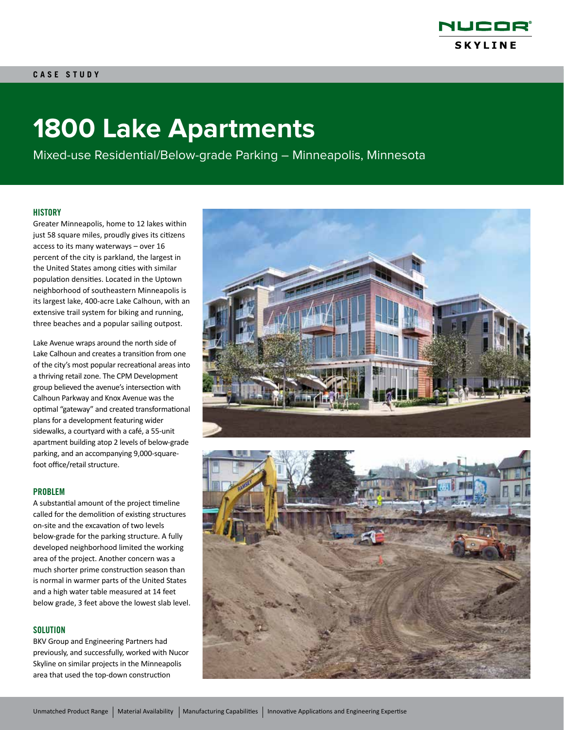

# **1800 Lake Apartments**

Mixed-use Residential/Below-grade Parking – Minneapolis, Minnesota

### **HISTORY**

Greater Minneapolis, home to 12 lakes within just 58 square miles, proudly gives its citizens access to its many waterways – over 16 percent of the city is parkland, the largest in the United States among cities with similar population densities. Located in the Uptown neighborhood of southeastern Minneapolis is its largest lake, 400-acre Lake Calhoun, with an extensive trail system for biking and running, three beaches and a popular sailing outpost.

Lake Avenue wraps around the north side of Lake Calhoun and creates a transition from one of the city's most popular recreational areas into a thriving retail zone. The CPM Development group believed the avenue's intersection with Calhoun Parkway and Knox Avenue was the optimal "gateway" and created transformational plans for a development featuring wider sidewalks, a courtyard with a café, a 55-unit apartment building atop 2 levels of below-grade parking, and an accompanying 9,000-squarefoot office/retail structure.

#### PROBLEM

A substantial amount of the project timeline called for the demolition of existing structures on-site and the excavation of two levels below-grade for the parking structure. A fully developed neighborhood limited the working area of the project. Another concern was a much shorter prime construction season than is normal in warmer parts of the United States and a high water table measured at 14 feet below grade, 3 feet above the lowest slab level.

#### **SOLUTION**

BKV Group and Engineering Partners had previously, and successfully, worked with Nucor Skyline on similar projects in the Minneapolis area that used the top-down construction